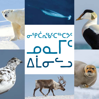## OFPCASKCSbC9C  $\mathbf{C}$ ALO LO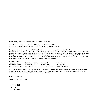Published by Inhabit Education | www.inhabiteducation.com

Inhabit Education (Iqaluit), P.O. Box 2129, Iqaluit, Nunavut, X0A 1H0 (Toronto), 191 Eglinton Avenue East, Suite 301, Toronto, Ontario, M4P 1K1

Design and layout copyright © 2018 Inhabit Education · Text copyright © Inhabit Education Photographs: © Nature Picture Library / Alamy Stock Photo, cover, page 7 · © Andre Anita/shutterstock.com, cover, page 6 · © Em-Jott/shutterstock.com, cover · © Erni/shutterstock.com, cover · © Jo Crebbin/shutterstock.com, cover · © Sergey Krasnoshchokov/shutterstock.com, cover, page 5 · © Arildina/shutterstock.com, page 1 · © Dan Bach Kristensen/shutterstock.com, page 2 · © Tatiana Ivkovich/shutterstock.com, page 3 · © BIOSPHOTO / Alamy Stock Photo, page 4 · © Nieuwland Photography/shutterstock.com, page 8

#### **Working Group**

Louise Flaherty Neil Christopher Danny Christopher

Roselynn Akulukjuk Maren Vsetula Hannah Gifford

Jessie Hale Dorothy Milne Matthew Hoffman Nancy Goupil Saa Pitsiulak Susan Tigullaraq

All rights reserved. The use of any part of this publication reproduced, transmitted in any form or by any means, electronic, mechanical, photocopying, recording, or otherwise, or stored in a retrievable system, without written consent of the publisher, is an infringement of copyright law.

Printed in Canada.

ISBN: 978-1-77266-823-0

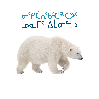# OSPC' L'ESCSUCSC

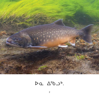

## $DQ \Delta^{5}bD^{6}.$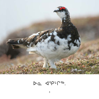

## $Da$   $45P^{\nu}P^{5b}$ .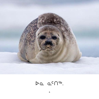

#### $DQ Q C \cap 56$ .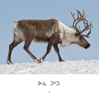

#### $\triangleright$ a ) $\triangleright$ ].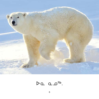

## $\triangleright$ a a  $0^{5b}$ .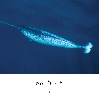

## Da jir<sup>b</sup>.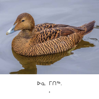

## $DQ \cap \bigcap^{q_{b}}.$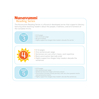#### **Nunavummi Reading Series**

Level

**eve** 

The Nunavummi Reading Series is a Nunavut-developed series that supports literacy learning while teaching readers about the people, traditions, and environment of the Canadian Arctic.

 $\cdot$  8-12 pages

- · One word per page
- No punctuation
- . Highly supportive images help readers decode the words
- $\bullet$  8-12 pages
	- One sentence per page
- Sentences are very short, basic, and repetitive
- · Basic punctuation (periods only)
- . Highly supportive images help readers decode the sentences
- $\bullet$  8-12 pages
- · One sentence per page
- · Sentences become longer and more varied
- . Punctuation includes mostly periods, with very few question marks and exclamation marks
- . Highly supportive images help readers decode the sentences